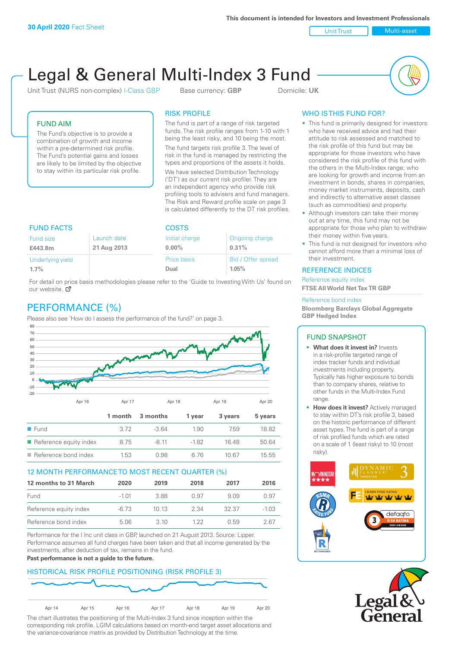**This document is intended for Investors and Investment Professionals**

Unit Trust Nulti-asset

# Legal & General Multi-Index 3 Fund

Unit Trust (NURS non-complex) I-Class GBP Base currency: **GBP** Domicile: UK



# FUND AIM

The Fund's objective is to provide a combination of growth and income within a pre-determined risk profile. The Fund's potential gains and losses are likely to be limited by the objective to stay within its particular risk profile.

## RISK PROFILE

The fund is part of a range of risk targeted funds. The risk profile ranges from 1-10 with 1 being the least risky, and 10 being the most.

The fund targets risk profile 3. The level of risk in the fund is managed by restricting the types and proportions of the assets it holds. We have selected Distribution Technology ('DT') as our current risk profiler. They are an independent agency who provide risk profiling tools to advisers and fund managers. The Risk and Reward profile scale on page 3 is calculated differently to the DT risk profiles.

| <b>FUND FACTS</b> |             | <b>COSTS</b>   |                    |  |
|-------------------|-------------|----------------|--------------------|--|
| Fund size         | Launch date | Initial charge | Ongoing charge     |  |
| £443.8m           | 21 Aug 2013 | $0.00\%$       | 0.31%              |  |
| Underlying yield  |             | Price basis    | Bid / Offer spread |  |
| 1.7%              |             | Dual           | 1.05%              |  |

For detail on price basis methodologies please refer to the 'Guide to Investing With Us' found on our website. Ø

# PERFORMANCE (%)

Please also see 'How do I assess the performance of the fund?' on page 3.



#### 12 MONTH PERFORMANCE TO MOST RECENT QUARTER (%)

| 12 months to 31 March  | 2020  | 2019  | 2018 | 2017  | 2016    |
|------------------------|-------|-------|------|-------|---------|
| Fund                   | -1 01 | 388   | O 97 | 909   | 0.97    |
| Reference equity index | -6.73 | 1013  | 2.34 | 32.37 | $-1.03$ |
| Reference bond index   | 5.06  | 3. IO | 1 22 | 0.59  | 2 67    |

Performance for the I Inc unit class in GBP, launched on 21 August 2013. Source: Lipper. Performance assumes all fund charges have been taken and that all income generated by the investments, after deduction of tax, remains in the fund.

#### **Past performance is not a guide to the future.**

# HISTORICAL RISK PROFILE POSITIONING (RISK PROFILE 3)



The chart illustrates the positioning of the Multi-Index 3 fund since inception within the corresponding risk profile. LGIM calculations based on month-end target asset allocations and the variance-covariance matrix as provided by Distribution Technology at the time.

# WHO IS THIS FUND FOR?

- This fund is primarily designed for investors: who have received advice and had their attitude to risk assessed and matched to the risk profile of this fund but may be appropriate for those investors who have considered the risk profile of this fund with the others in the Multi-Index range; who are looking for growth and income from an investment in bonds, shares in companies, money market instruments, deposits, cash and indirectly to alternative asset classes (such as commodities) and property.
- Although investors can take their money out at any time, this fund may not be appropriate for those who plan to withdraw their money within five years.
- This fund is not designed for investors who cannot afford more than a minimal loss of their investment.

## REFERENCE INDICES

Reference equity index **FTSE All World Net Tax TR GBP**

#### Reference bond index

**Bloomberg Barclays Global Aggregate GBP Hedged Index**

#### FUND SNAPSHOT

- **• What does it invest in?** Invests in a risk-profile targeted range of index tracker funds and individual investments including property. Typically has higher exposure to bonds than to company shares, relative to other funds in the Multi-Index Fund range.
- **• How does it invest?** Actively managed to stay within DT's risk profile 3, based on the historic performance of different asset types. The fund is part of a range of risk profiled funds which are rated on a scale of 1 (least risky) to 10 (most risky).



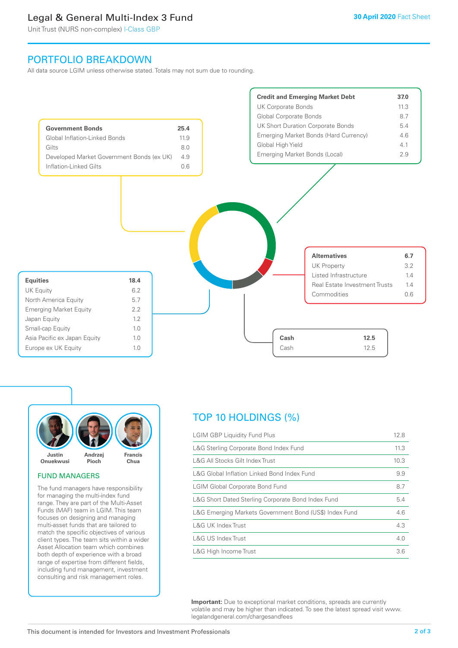# Legal & General Multi-Index 3 Fund

Unit Trust (NURS non-complex) I-Class GBP

# PORTFOLIO BREAKDOWN

All data source LGIM unless otherwise stated. Totals may not sum due to rounding.





#### FUND MANAGERS

The fund managers have responsibility for managing the multi-index fund range. They are part of the Multi-Asset Funds (MAF) team in LGIM. This team focuses on designing and managing multi-asset funds that are tailored to match the specific objectives of various client types. The team sits within a wider Asset Allocation team which combines both depth of experience with a broad range of expertise from different fields, including fund management, investment consulting and risk management roles.

# TOP 10 HOLDINGS (%)

| <b>LGIM GBP Liquidity Fund Plus</b>                    | 12.8 |
|--------------------------------------------------------|------|
| L&G Sterling Corporate Bond Index Fund                 | 11.3 |
| L&G All Stocks Gilt Index Trust                        | 10.3 |
| L&G Global Inflation Linked Bond Index Fund            | 9.9  |
| <b>LGIM Global Corporate Bond Fund</b>                 | 8.7  |
| L&G Short Dated Sterling Corporate Bond Index Fund     | 5.4  |
| L&G Emerging Markets Government Bond (US\$) Index Fund | 4.6  |
| L&G UK Index Trust                                     | 4.3  |
| L&G US Index Trust                                     | 4.0  |
| L&G High Income Trust                                  | 3.6  |

**Important:** Due to exceptional market conditions, spreads are currently volatile and may be higher than indicated. To see the latest spread visit www. legalandgeneral.com/chargesandfees